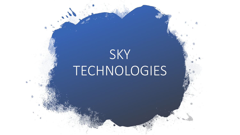## SKY TECHNOLOGIES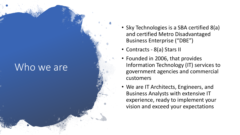## Who we are

- Sky Technologies is a SBA certified 8(a) and certified Metro Disadvantaged Business Enterprise ("DBE")
- Contracts 8(a) Stars II
- Founded in 2006, that provides Information Technology (IT) services to government agencies and commercial customers
- We are IT Architects, Engineers, and Business Analysts with extensive IT experience, ready to implement your vision and exceed your expectations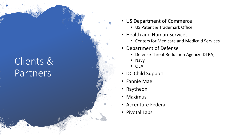## Clients & Partners

- US Department of Commerce
	- US Patent & Trademark Office
- Health and Human Services
	- Centers for Medicare and Medicaid Services
- Department of Defense
	- Defense Threat Reduction Agency (DTRA)
	- Navy
	- OEA
- DC Child Support
- Fannie Mae
- Raytheon
- Maximus
- Accenture Federal
- Pivotal Labs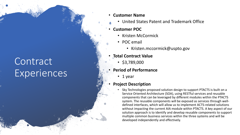## **Contract** Experiences

- **Customer Name**
	- United States Patent and Trademark Office
- **Customer POC**
	- Kristen McCormick
	- POC email
		- Kristen.mccormick@uspto.gov
- **Total Contract Value**
	- $\cdot$  \$3,789,000
- **Period of Performance**
	- 1 year

#### • **Project Description**

• Sky Technologies proposed solution design to support PTACTS is built on a Service Oriented Architecture (SOA), using RESTful services and reusable components that can be leveraged by different modules within the PTACTS system. The reusable components will be exposed as services through welldefined interfaces, which will allow us to implement ACTS-related solutions without impacting the current AIA module within PTACTS. A key aspect of our solution approach is to identify and develop reusable components to support multiple common business services within the three systems and will be developed independently and effectively.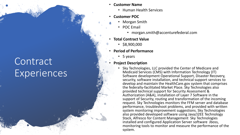## **Contract Experiences**

- **Customer Name**
	- Human Health Services
- **Customer POC**
	- Morgan Smith
	- POC Email
		- morgan.smith@accenturefederal.com
- **Total Contract Value**
	- $\cdot$  \$8,900,000
- **Period of Performance**
	- 5 years
- **Project Description**
	- Sky Technologies, LLC provided the Center of Medicare and Medicaid Services (CMS) with Information Technology (IT) Software development Operational Support, Disaster Recovery, security, software installation, and technical support services to develop and maintain the HealthCare.gov system that comprises the federally-facilitated Market Place. Sky Technologies also provided technical support for Security Assessment & Authorization (A&A), installation of Layer 7 Software in the support of Security, routing and transformation of the incoming request. Sky Technologies monitors the FFM server and database performance, troubleshoot problems, and provided with written system monitoring improvement suggestions. Sky Technologies also provided developed software using Java/J2EE Technology Stack, Alfresco for Content Management Sky Technologies installed and configured Application Server software Jboss, monitoring tools to monitor and measure the performance of the system.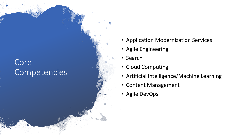### Core Competencies

- Application Modernization Services
- Agile Engineering
- Search
- Cloud Computing
- Artificial Intelligence/Machine Learning
- Content Management
- Agile DevOps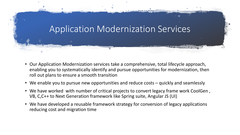

- Our Application Modernization services take a comprehensive, total lifecycle approach, enabling you to systematically identify and pursue opportunities for modernization, then roll out plans to ensure a smooth transition
- We enable you to pursue new opportunities and reduce costs quickly and seamlessly
- We have worked with number of critical projects to convert legacy frame work CoolGen , VB, C,C++ to Next Generation framework like Spring suite, Angular JS (UI)
- We have developed a reusable framework strategy for conversion of legacy applications reducing cost and migration time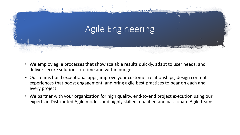

- We employ agile processes that show scalable results quickly, adapt to user needs, and deliver secure solutions on-time and within budget
- Our teams build exceptional apps, improve your customer relationships, design content experiences that boost engagement, and bring agile best practices to bear on each and every project
- We partner with your organization for high quality, end-to-end project execution using our experts in Distributed Agile models and highly skilled, qualified and passionate Agile teams.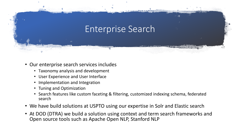# Enterprise Search

- Our enterprise search services includes
	- Taxonomy analysis and development
	- User Experience and User Interface
	- Implementation and Integration
	- Tuning and Optimization
	- Search features like custom faceting & filtering, customized indexing schema, federated search
- We have build solutions at USPTO using our expertise in Solr and Elastic search
- At DOD (DTRA) we build a solution using context and term search frameworks and Open source tools such as Apache Open NLP, Stanford NLP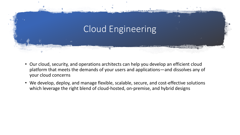

- Our cloud, security, and operations architects can help you develop an efficient cloud platform that meets the demands of your users and applications—and dissolves any of your cloud concerns
- We develop, deploy, and manage flexible, scalable, secure, and cost-effective solutions which leverage the right blend of cloud-hosted, on-premise, and hybrid designs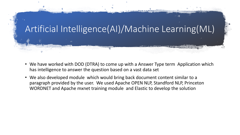

- We have worked with DOD (DTRA) to come up with a Answer Type term Application which has intelligence to answer the question based on a vast data set
- We also developed module which would bring back document content similar to a paragraph provided by the user. We used Apache OPEN NLP, Standford NLP, Princeton WORDNET and Apache mxnet training module and Elastic to develop the solution